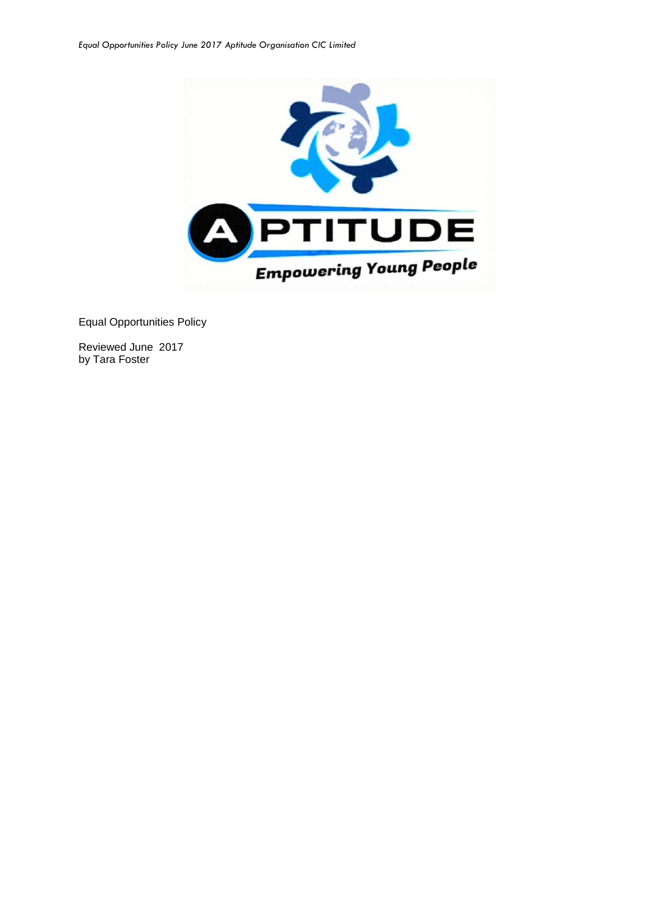

Equal Opportunities Policy

Reviewed June 2017 by Tara Foster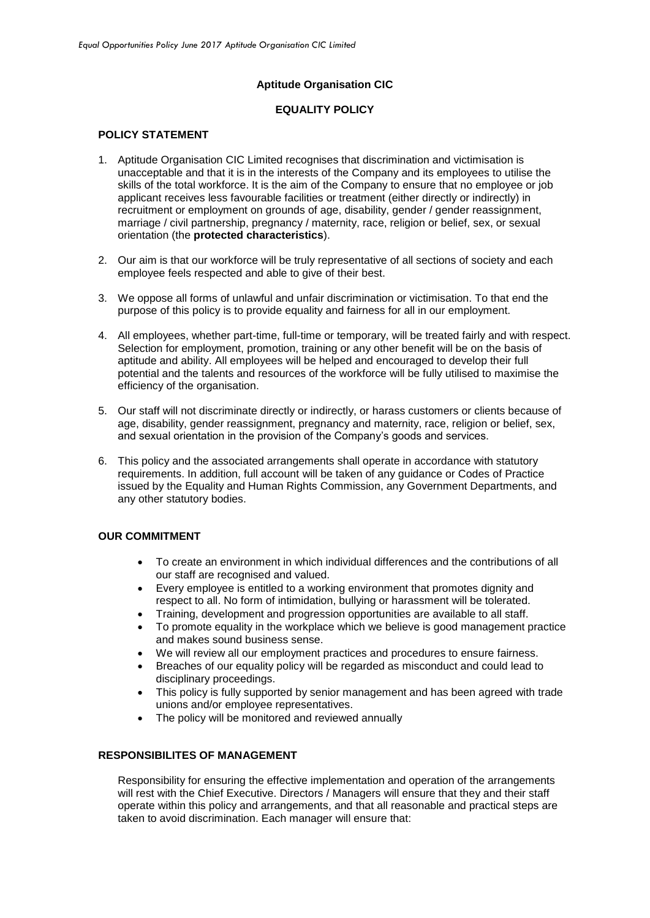## **Aptitude Organisation CIC**

# **EQUALITY POLICY**

## **POLICY STATEMENT**

- 1. Aptitude Organisation CIC Limited recognises that discrimination and victimisation is unacceptable and that it is in the interests of the Company and its employees to utilise the skills of the total workforce. It is the aim of the Company to ensure that no employee or job applicant receives less favourable facilities or treatment (either directly or indirectly) in recruitment or employment on grounds of age, disability, gender / gender reassignment, marriage / civil partnership, pregnancy / maternity, race, religion or belief, sex, or sexual orientation (the **protected characteristics**).
- 2. Our aim is that our workforce will be truly representative of all sections of society and each employee feels respected and able to give of their best.
- 3. We oppose all forms of unlawful and unfair discrimination or victimisation. To that end the purpose of this policy is to provide equality and fairness for all in our employment.
- 4. All employees, whether part-time, full-time or temporary, will be treated fairly and with respect. Selection for employment, promotion, training or any other benefit will be on the basis of aptitude and ability. All employees will be helped and encouraged to develop their full potential and the talents and resources of the workforce will be fully utilised to maximise the efficiency of the organisation.
- 5. Our staff will not discriminate directly or indirectly, or harass customers or clients because of age, disability, gender reassignment, pregnancy and maternity, race, religion or belief, sex, and sexual orientation in the provision of the Company's goods and services.
- 6. This policy and the associated arrangements shall operate in accordance with statutory requirements. In addition, full account will be taken of any guidance or Codes of Practice issued by the Equality and Human Rights Commission, any Government Departments, and any other statutory bodies.

### **OUR COMMITMENT**

- To create an environment in which individual differences and the contributions of all our staff are recognised and valued.
- Every employee is entitled to a working environment that promotes dignity and respect to all. No form of intimidation, bullying or harassment will be tolerated.
- Training, development and progression opportunities are available to all staff.
- To promote equality in the workplace which we believe is good management practice and makes sound business sense.
- We will review all our employment practices and procedures to ensure fairness.
- Breaches of our equality policy will be regarded as misconduct and could lead to disciplinary proceedings.
- This policy is fully supported by senior management and has been agreed with trade unions and/or employee representatives.
- The policy will be monitored and reviewed annually

### **RESPONSIBILITES OF MANAGEMENT**

Responsibility for ensuring the effective implementation and operation of the arrangements will rest with the Chief Executive. Directors / Managers will ensure that they and their staff operate within this policy and arrangements, and that all reasonable and practical steps are taken to avoid discrimination. Each manager will ensure that: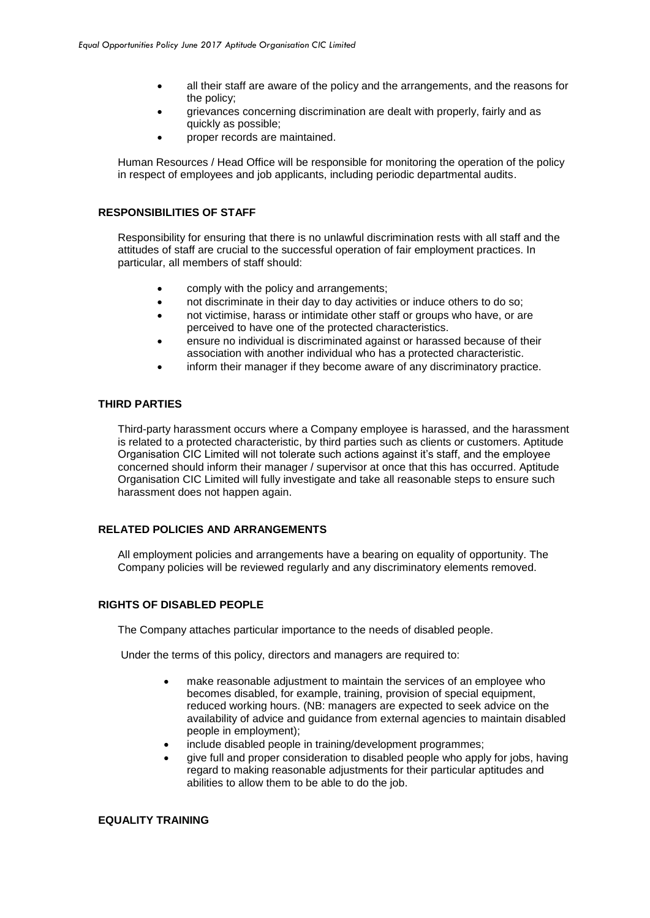- all their staff are aware of the policy and the arrangements, and the reasons for the policy;
- grievances concerning discrimination are dealt with properly, fairly and as quickly as possible;
- proper records are maintained.

Human Resources / Head Office will be responsible for monitoring the operation of the policy in respect of employees and job applicants, including periodic departmental audits.

#### **RESPONSIBILITIES OF STAFF**

Responsibility for ensuring that there is no unlawful discrimination rests with all staff and the attitudes of staff are crucial to the successful operation of fair employment practices. In particular, all members of staff should:

- comply with the policy and arrangements;
- not discriminate in their day to day activities or induce others to do so;
- not victimise, harass or intimidate other staff or groups who have, or are perceived to have one of the protected characteristics.
- ensure no individual is discriminated against or harassed because of their association with another individual who has a protected characteristic.
- inform their manager if they become aware of any discriminatory practice.

### **THIRD PARTIES**

Third-party harassment occurs where a Company employee is harassed, and the harassment is related to a protected characteristic, by third parties such as clients or customers. Aptitude Organisation CIC Limited will not tolerate such actions against it's staff, and the employee concerned should inform their manager / supervisor at once that this has occurred. Aptitude Organisation CIC Limited will fully investigate and take all reasonable steps to ensure such harassment does not happen again.

# **RELATED POLICIES AND ARRANGEMENTS**

All employment policies and arrangements have a bearing on equality of opportunity. The Company policies will be reviewed regularly and any discriminatory elements removed.

## **RIGHTS OF DISABLED PEOPLE**

The Company attaches particular importance to the needs of disabled people.

Under the terms of this policy, directors and managers are required to:

- make reasonable adjustment to maintain the services of an employee who becomes disabled, for example, training, provision of special equipment, reduced working hours. (NB: managers are expected to seek advice on the availability of advice and guidance from external agencies to maintain disabled people in employment);
- include disabled people in training/development programmes;
- give full and proper consideration to disabled people who apply for jobs, having regard to making reasonable adjustments for their particular aptitudes and abilities to allow them to be able to do the job.

### **EQUALITY TRAINING**